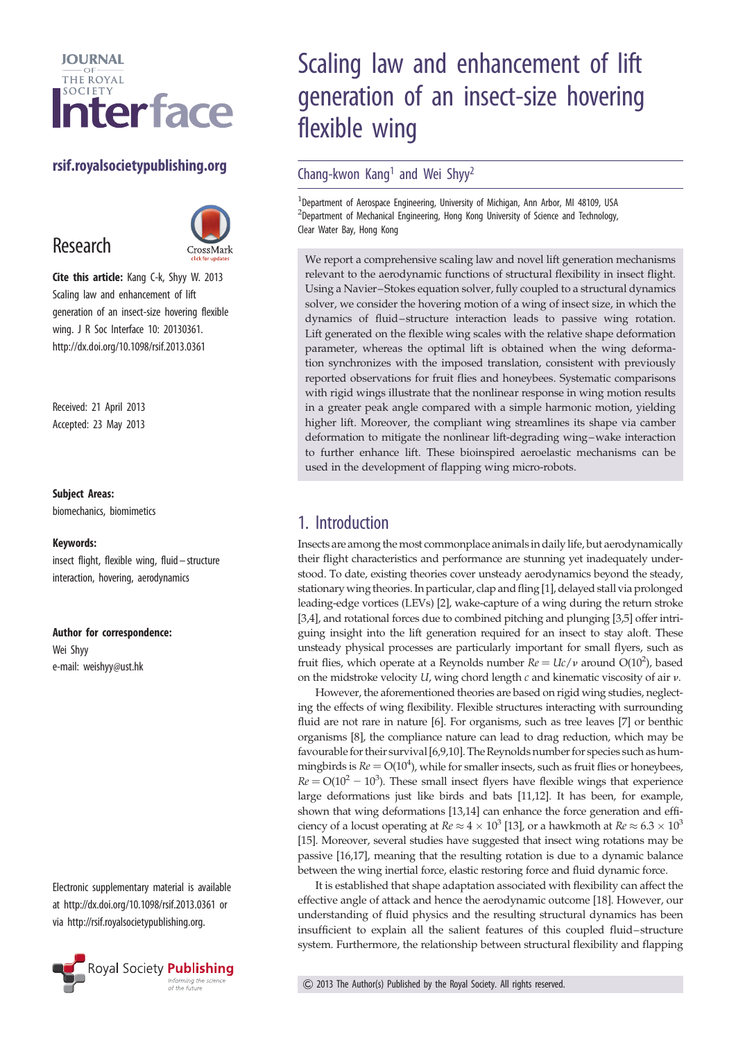

## rsif.royalsocietypublishing.org

# Research



Cite this article: Kang C-k, Shyy W. 2013 Scaling law and enhancement of lift generation of an insect-size hovering flexible wing. J R Soc Interface 10: 20130361. http://dx.doi.org/10.1098/rsif.2013.0361

Received: 21 April 2013 Accepted: 23 May 2013

#### Subject Areas:

biomechanics, biomimetics

#### Keywords:

insect flight, flexible wing, fluid –structure interaction, hovering, aerodynamics

#### Author for correspondence:

Wei Shyy e-mail: [weishyy@ust.hk](mailto:weishyy@ust.hk)

Electronic supplementary material is available at<http://dx.doi.org/10.1098/rsif.2013.0361> or via<http://rsif.royalsocietypublishing.org>.



# Scaling law and enhancement of lift generation of an insect-size hovering flexible wing

#### Chang-kwon Kang<sup>1</sup> and Wei Shyy<sup>2</sup>

<sup>1</sup>Department of Aerospace Engineering, University of Michigan, Ann Arbor, MI 48109, USA <sup>2</sup>Department of Mechanical Engineering, Hong Kong University of Science and Technology, Clear Water Bay, Hong Kong

We report a comprehensive scaling law and novel lift generation mechanisms relevant to the aerodynamic functions of structural flexibility in insect flight. Using a Navier–Stokes equation solver, fully coupled to a structural dynamics solver, we consider the hovering motion of a wing of insect size, in which the dynamics of fluid–structure interaction leads to passive wing rotation. Lift generated on the flexible wing scales with the relative shape deformation parameter, whereas the optimal lift is obtained when the wing deformation synchronizes with the imposed translation, consistent with previously reported observations for fruit flies and honeybees. Systematic comparisons with rigid wings illustrate that the nonlinear response in wing motion results in a greater peak angle compared with a simple harmonic motion, yielding higher lift. Moreover, the compliant wing streamlines its shape via camber deformation to mitigate the nonlinear lift-degrading wing–wake interaction to further enhance lift. These bioinspired aeroelastic mechanisms can be used in the development of flapping wing micro-robots.

## 1. Introduction

Insects are among the most commonplace animalsin daily life, but aerodynamically their flight characteristics and performance are stunning yet inadequately understood. To date, existing theories cover unsteady aerodynamics beyond the steady, stationary wing theories. In particular, clap and fling [[1](#page-9-0)], delayed stall via prolonged leading-edge vortices (LEVs) [\[2\]](#page-9-0), wake-capture of a wing during the return stroke [[3,4\]](#page-9-0), and rotational forces due to combined pitching and plunging [\[3,5](#page-9-0)] offer intriguing insight into the lift generation required for an insect to stay aloft. These unsteady physical processes are particularly important for small flyers, such as fruit flies, which operate at a Reynolds number  $Re = Uc/v$  around O(10<sup>2</sup>), based on the midstroke velocity  $U$ , wing chord length  $c$  and kinematic viscosity of air  $v$ .

However, the aforementioned theories are based on rigid wing studies, neglecting the effects of wing flexibility. Flexible structures interacting with surrounding fluid are not rare in nature [[6](#page-9-0)]. For organisms, such as tree leaves [\[7](#page-9-0)] or benthic organisms [[8](#page-9-0)], the compliance nature can lead to drag reduction, which may be favourable for their survival [[6,9,10\]](#page-9-0). The Reynolds number for species such as hummingbirds is  $Re = O(10<sup>4</sup>)$ , while for smaller insects, such as fruit flies or honeybees,  $Re = O(10^2 - 10^3)$ . These small insect flyers have flexible wings that experience large deformations just like birds and bats [[11](#page-9-0),[12](#page-9-0)]. It has been, for example, shown that wing deformations [[13](#page-9-0),[14](#page-9-0)] can enhance the force generation and efficiency of a locust operating at  $Re \approx 4 \times 10^3$  [[13\]](#page-9-0), or a hawkmoth at  $Re \approx 6.3 \times 10^3$ [[15](#page-9-0)]. Moreover, several studies have suggested that insect wing rotations may be passive [\[16,17\]](#page-9-0), meaning that the resulting rotation is due to a dynamic balance between the wing inertial force, elastic restoring force and fluid dynamic force.

It is established that shape adaptation associated with flexibility can affect the effective angle of attack and hence the aerodynamic outcome [[18](#page-9-0)]. However, our understanding of fluid physics and the resulting structural dynamics has been insufficient to explain all the salient features of this coupled fluid–structure system. Furthermore, the relationship between structural flexibility and flapping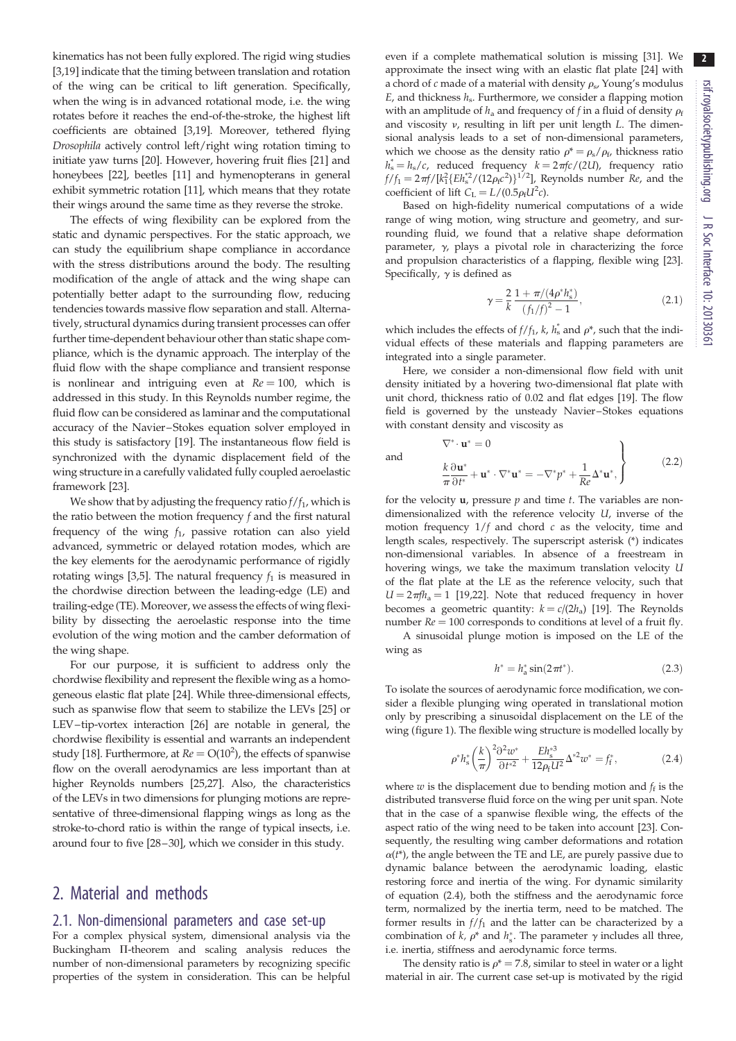kinematics has not been fully explored. The rigid wing studies [\[3,19](#page-9-0)] indicate that the timing between translation and rotation of the wing can be critical to lift generation. Specifically, when the wing is in advanced rotational mode, i.e. the wing rotates before it reaches the end-of-the-stroke, the highest lift coefficients are obtained [\[3,19](#page-9-0)]. Moreover, tethered flying Drosophila actively control left/right wing rotation timing to initiate yaw turns [\[20](#page-9-0)]. However, hovering fruit flies [[21\]](#page-9-0) and honeybees [[22](#page-9-0)], beetles [[11](#page-9-0)] and hymenopterans in general exhibit symmetric rotation [[11\]](#page-9-0), which means that they rotate their wings around the same time as they reverse the stroke.

The effects of wing flexibility can be explored from the static and dynamic perspectives. For the static approach, we can study the equilibrium shape compliance in accordance with the stress distributions around the body. The resulting modification of the angle of attack and the wing shape can potentially better adapt to the surrounding flow, reducing tendencies towards massive flow separation and stall. Alternatively, structural dynamics during transient processes can offer further time-dependent behaviour other than static shape compliance, which is the dynamic approach. The interplay of the fluid flow with the shape compliance and transient response is nonlinear and intriguing even at  $Re = 100$ , which is addressed in this study. In this Reynolds number regime, the fluid flow can be considered as laminar and the computational accuracy of the Navier–Stokes equation solver employed in this study is satisfactory [\[19](#page-9-0)]. The instantaneous flow field is synchronized with the dynamic displacement field of the wing structure in a carefully validated fully coupled aeroelastic framework [[23\]](#page-9-0).

We show that by adjusting the frequency ratio  $f/f_1$ , which is the ratio between the motion frequency f and the first natural frequency of the wing  $f_1$ , passive rotation can also yield advanced, symmetric or delayed rotation modes, which are the key elements for the aerodynamic performance of rigidly rotating wings [\[3](#page-9-0),[5](#page-9-0)]. The natural frequency  $f_1$  is measured in the chordwise direction between the leading-edge (LE) and trailing-edge (TE). Moreover, we assess the effects of wing flexibility by dissecting the aeroelastic response into the time evolution of the wing motion and the camber deformation of the wing shape.

For our purpose, it is sufficient to address only the chordwise flexibility and represent the flexible wing as a homogeneous elastic flat plate [[24](#page-9-0)]. While three-dimensional effects, such as spanwise flow that seem to stabilize the LEVs [[25](#page-9-0)] or LEV–tip-vortex interaction [[26\]](#page-9-0) are notable in general, the chordwise flexibility is essential and warrants an independent study [\[18](#page-9-0)]. Furthermore, at  $Re = O(10^2)$ , the effects of spanwise flow on the overall aerodynamics are less important than at higher Reynolds numbers [[25](#page-9-0),[27](#page-9-0)]. Also, the characteristics of the LEVs in two dimensions for plunging motions are representative of three-dimensional flapping wings as long as the stroke-to-chord ratio is within the range of typical insects, i.e. around four to five [\[28](#page-9-0)–[30](#page-9-0)], which we consider in this study.

## 2. Material and methods

#### 2.1. Non-dimensional parameters and case set-up

For a complex physical system, dimensional analysis via the Buckingham II-theorem and scaling analysis reduces the number of non-dimensional parameters by recognizing specific properties of the system in consideration. This can be helpful even if a complete mathematical solution is missing [\[31\]](#page-9-0). We approximate the insect wing with an elastic flat plate [\[24\]](#page-9-0) with a chord of c made of a material with density  $\rho_{\rm s}$ , Young's modulus  $E$ , and thickness  $h_s$ . Furthermore, we consider a flapping motion with an amplitude of  $h_a$  and frequency of f in a fluid of density  $\rho_f$ and viscosity  $\nu$ , resulting in lift per unit length  $L$ . The dimensional analysis leads to a set of non-dimensional parameters, which we choose as the density ratio  $\rho^* = \rho_s / \rho_f$ , thickness ratio  $h_s^* = h_s/c$ , reduced frequency  $k = 2\pi f c/(2U)$ , frequency ratio  $f/f_1 = 2\pi f/[k_1^2\{Eh_s^{*2}/(12\rho_f c^2)\}^{1/2}]$ , Reynolds number *Re*, and the coefficient of lift  $C_{\rm L} = L/(0.5\rho_{\rm f}U^2c)$ .

Based on high-fidelity numerical computations of a wide range of wing motion, wing structure and geometry, and surrounding fluid, we found that a relative shape deformation parameter,  $\gamma$ , plays a pivotal role in characterizing the force and propulsion characteristics of a flapping, flexible wing [\[23\]](#page-9-0). Specifically,  $\gamma$  is defined as

$$
\gamma = \frac{2}{k} \frac{1 + \pi/(4\rho^* h_s^*)}{(f_1/f)^2 - 1},
$$
\n(2.1)

 $\overline{ }$ 

which includes the effects of  $f/f_1$ , k,  $h_s^*$  and  $\rho^*$ , such that the individual effects of these materials and flapping parameters are integrated into a single parameter.

Here, we consider a non-dimensional flow field with unit density initiated by a hovering two-dimensional flat plate with unit chord, thickness ratio of 0.02 and flat edges [\[19\]](#page-9-0). The flow field is governed by the unsteady Navier–Stokes equations with constant density and viscosity as

and

$$
\nabla^* \cdot \mathbf{u}^* = 0
$$
  
\n
$$
\frac{k \partial \mathbf{u}^*}{\partial t^*} + \mathbf{u}^* \cdot \nabla^* \mathbf{u}^* = -\nabla^* p^* + \frac{1}{Re} \Delta^* \mathbf{u}^*,
$$
\n(2.2)

for the velocity  $\mathbf{u}$ , pressure  $p$  and time  $t$ . The variables are nondimensionalized with the reference velocity U, inverse of the motion frequency  $1/f$  and chord  $c$  as the velocity, time and length scales, respectively. The superscript asterisk (\*) indicates non-dimensional variables. In absence of a freestream in hovering wings, we take the maximum translation velocity U of the flat plate at the LE as the reference velocity, such that  $U = 2\pi f h_a = 1$  [[19,22\]](#page-9-0). Note that reduced frequency in hover becomes a geometric quantity:  $k = c/(2h_a)$  [[19](#page-9-0)]. The Reynolds number  $Re = 100$  corresponds to conditions at level of a fruit fly.

A sinusoidal plunge motion is imposed on the LE of the wing as

$$
h^* = h^*_{\rm a} \sin(2\pi t^*). \tag{2.3}
$$

To isolate the sources of aerodynamic force modification, we consider a flexible plunging wing operated in translational motion only by prescribing a sinusoidal displacement on the LE of the wing ([figure 1](#page-2-0)). The flexible wing structure is modelled locally by

$$
\rho^* h_s^* \left(\frac{k}{\pi}\right)^2 \frac{\partial^2 w^*}{\partial t^{*2}} + \frac{E h_s^{*3}}{12 \rho_f U^2} \Delta^{*2} w^* = f_f^*,\tag{2.4}
$$

where  $w$  is the displacement due to bending motion and  $f_f$  is the distributed transverse fluid force on the wing per unit span. Note that in the case of a spanwise flexible wing, the effects of the aspect ratio of the wing need to be taken into account [[23](#page-9-0)]. Consequently, the resulting wing camber deformations and rotation  $\alpha(t^*)$ , the angle between the TE and LE, are purely passive due to dynamic balance between the aerodynamic loading, elastic restoring force and inertia of the wing. For dynamic similarity of equation (2.4), both the stiffness and the aerodynamic force term, normalized by the inertia term, need to be matched. The former results in  $f/f_1$  and the latter can be characterized by a combination of  $k$ ,  $\rho^*$  and  $h_s^*$ . The parameter  $\gamma$  includes all three, i.e. inertia, stiffness and aerodynamic force terms.

The density ratio is  $\rho^* = 7.8$ , similar to steel in water or a light material in air. The current case set-up is motivated by the rigid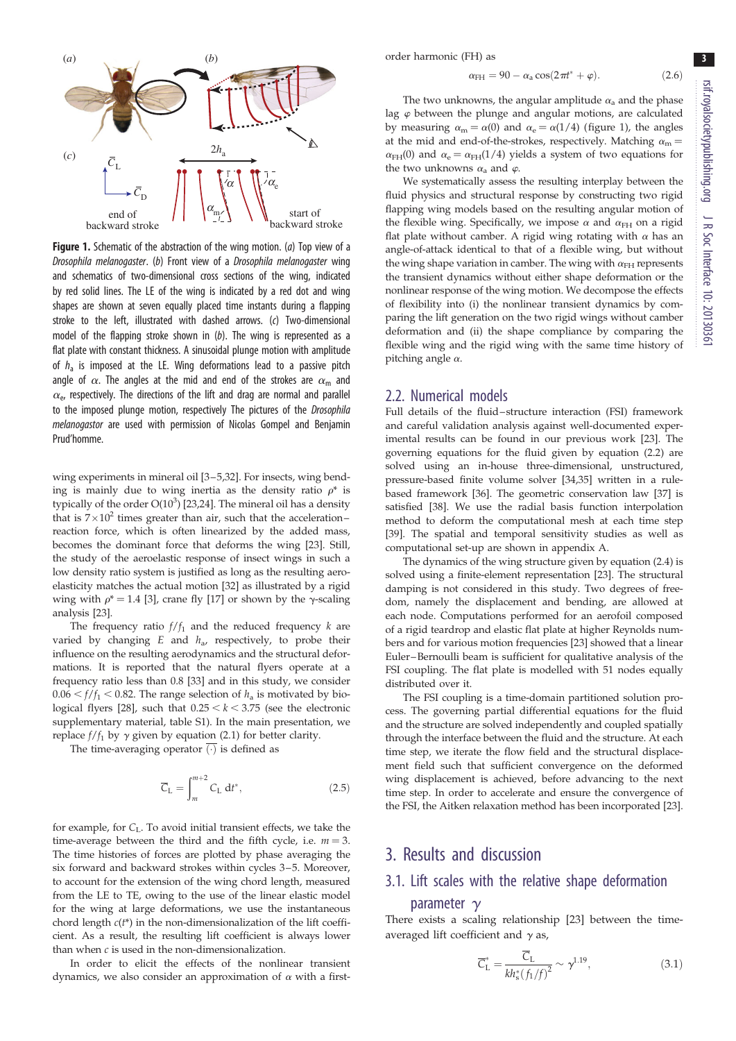<span id="page-2-0"></span>

**Figure 1.** Schematic of the abstraction of the wing motion. (a) Top view of a Drosophila melanogaster. (b) Front view of a Drosophila melanogaster wing and schematics of two-dimensional cross sections of the wing, indicated by red solid lines. The LE of the wing is indicated by a red dot and wing shapes are shown at seven equally placed time instants during a flapping stroke to the left, illustrated with dashed arrows. (c) Two-dimensional model of the flapping stroke shown in  $(b)$ . The wing is represented as a flat plate with constant thickness. A sinusoidal plunge motion with amplitude of  $h_a$  is imposed at the LE. Wing deformations lead to a passive pitch angle of  $\alpha$ . The angles at the mid and end of the strokes are  $\alpha_{\rm m}$  and  $\alpha_e$ , respectively. The directions of the lift and drag are normal and parallel to the imposed plunge motion, respectively The pictures of the Drosophila melanogastor are used with permission of Nicolas Gompel and Benjamin Prud'homme.

wing experiments in mineral oil [\[3](#page-9-0)-5,32]. For insects, wing bending is mainly due to wing inertia as the density ratio  $\rho^*$  is typically of the order  $O(10^3)$  [[23](#page-9-0),[24\]](#page-9-0). The mineral oil has a density that is  $7\times10^2$  times greater than air, such that the accelerationreaction force, which is often linearized by the added mass, becomes the dominant force that deforms the wing [[23](#page-9-0)]. Still, the study of the aeroelastic response of insect wings in such a low density ratio system is justified as long as the resulting aeroelasticity matches the actual motion [\[32\]](#page-9-0) as illustrated by a rigid wing with  $\rho^* = 1.4$  [[3\]](#page-9-0), crane fly [\[17\]](#page-9-0) or shown by the  $\gamma$ -scaling analysis [[23](#page-9-0)].

The frequency ratio  $f/f_1$  and the reduced frequency  $k$  are varied by changing  $E$  and  $h_a$ , respectively, to probe their influence on the resulting aerodynamics and the structural deformations. It is reported that the natural flyers operate at a frequency ratio less than 0.8 [\[33\]](#page-9-0) and in this study, we consider  $0.06 < f/f_1 < 0.82$ . The range selection of  $h_a$  is motivated by bio-logical flyers [[28](#page-9-0)], such that  $0.25 < k < 3.75$  (see the electronic supplementary material, table S1). In the main presentation, we replace  $f/f_1$  by  $\gamma$  given by equation (2.1) for better clarity.

The time-averaging operator  $\overline{(\cdot)}$  is defined as

$$
\overline{C}_{L} = \int_{m}^{m+2} C_{L} dt^{*},
$$
\n(2.5)

for example, for  $C_L$ . To avoid initial transient effects, we take the time-average between the third and the fifth cycle, i.e.  $m = 3$ . The time histories of forces are plotted by phase averaging the six forward and backward strokes within cycles 3-5. Moreover, to account for the extension of the wing chord length, measured from the LE to TE, owing to the use of the linear elastic model for the wing at large deformations, we use the instantaneous chord length  $c(t^*)$  in the non-dimensionalization of the lift coefficient. As a result, the resulting lift coefficient is always lower than when  $c$  is used in the non-dimensionalization.

In order to elicit the effects of the nonlinear transient dynamics, we also consider an approximation of  $\alpha$  with a first-

$$
\alpha_{\rm FH} = 90 - \alpha_{\rm a} \cos(2\pi t^* + \varphi). \tag{2.6}
$$

The two unknowns, the angular amplitude  $\alpha_a$  and the phase lag  $\varphi$  between the plunge and angular motions, are calculated by measuring  $\alpha_m = \alpha(0)$  and  $\alpha_e = \alpha(1/4)$  (figure 1), the angles at the mid and end-of-the-strokes, respectively. Matching  $\alpha_m =$  $\alpha_{\text{FH}}(0)$  and  $\alpha_{\text{e}} = \alpha_{\text{FH}}(1/4)$  yields a system of two equations for the two unknowns  $\alpha_a$  and  $\varphi$ .

We systematically assess the resulting interplay between the fluid physics and structural response by constructing two rigid flapping wing models based on the resulting angular motion of the flexible wing. Specifically, we impose  $\alpha$  and  $\alpha_{FH}$  on a rigid flat plate without camber. A rigid wing rotating with  $\alpha$  has an angle-of-attack identical to that of a flexible wing, but without the wing shape variation in camber. The wing with  $\alpha_{FH}$  represents the transient dynamics without either shape deformation or the nonlinear response of the wing motion. We decompose the effects of flexibility into (i) the nonlinear transient dynamics by comparing the lift generation on the two rigid wings without camber deformation and (ii) the shape compliance by comparing the flexible wing and the rigid wing with the same time history of pitching angle  $\alpha$ .

#### 2.2. Numerical models

Full details of the fluid-structure interaction (FSI) framework and careful validation analysis against well-documented experimental results can be found in our previous work [\[23\]](#page-9-0). The governing equations for the fluid given by equation (2.2) are solved using an in-house three-dimensional, unstructured, pressure-based finite volume solver [\[34,35](#page-9-0)] written in a rulebased framework [[36](#page-10-0)]. The geometric conservation law [[37](#page-10-0)] is satisfied [[38](#page-10-0)]. We use the radial basis function interpolation method to deform the computational mesh at each time step [[39](#page-10-0)]. The spatial and temporal sensitivity studies as well as computational set-up are shown in appendix A.

The dynamics of the wing structure given by equation (2.4) is solved using a finite-element representation [\[23\]](#page-9-0). The structural damping is not considered in this study. Two degrees of freedom, namely the displacement and bending, are allowed at each node. Computations performed for an aerofoil composed of a rigid teardrop and elastic flat plate at higher Reynolds numbers and for various motion frequencies [\[23\]](#page-9-0) showed that a linear Euler –Bernoulli beam is sufficient for qualitative analysis of the FSI coupling. The flat plate is modelled with 51 nodes equally distributed over it.

The FSI coupling is a time-domain partitioned solution process. The governing partial differential equations for the fluid and the structure are solved independently and coupled spatially through the interface between the fluid and the structure. At each time step, we iterate the flow field and the structural displacement field such that sufficient convergence on the deformed wing displacement is achieved, before advancing to the next time step. In order to accelerate and ensure the convergence of the FSI, the Aitken relaxation method has been incorporated [\[23\]](#page-9-0).

### 3. Results and discussion

## 3.1. Lift scales with the relative shape deformation

#### parameter  $\gamma$

There exists a scaling relationship [[23\]](#page-9-0) between the timeaveraged lift coefficient and  $\gamma$  as,

$$
\overline{C}_{\rm L}^* = \frac{\overline{C}_{\rm L}}{kh_s^*(f_1/f)^2} \sim \gamma^{1.19},\tag{3.1}
$$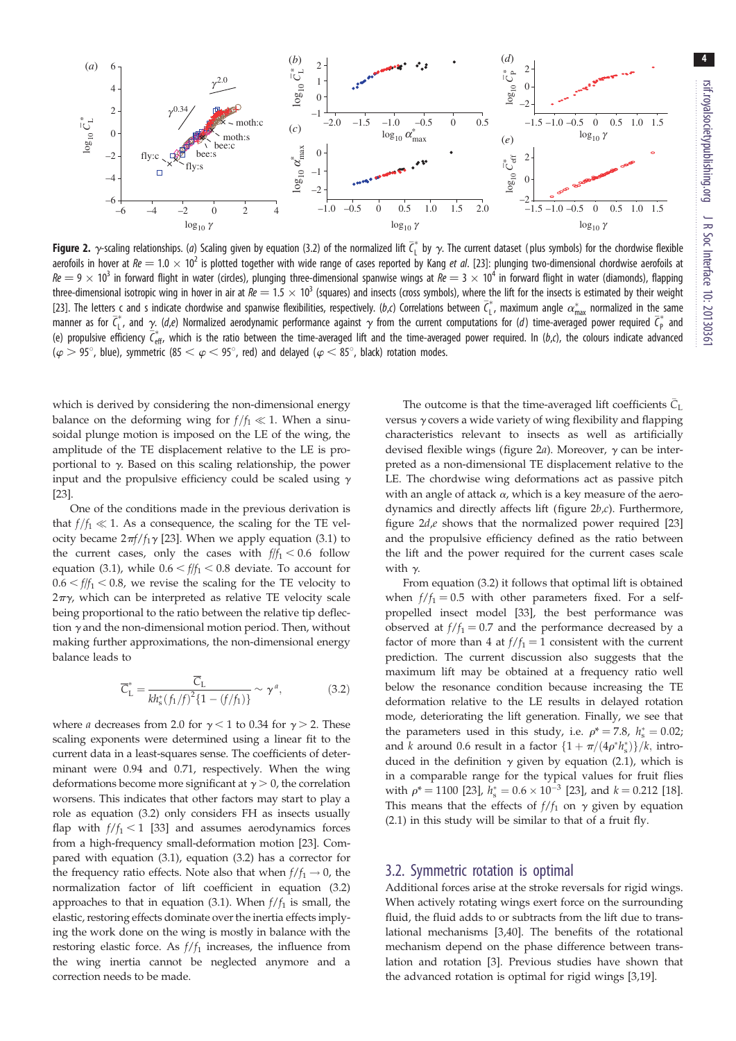

**Figure 2.**  $\gamma$ -scaling relationships. (a) Scaling given by equation (3.2) of the normalized lift  $\vec{\mathsf{c}}^*_{\mathsf{L}}$  by  $\gamma$ . The current dataset (plus symbols) for the chordwise flexible aerofoils in hover at  $Re = 1.0 \times 10^2$  is plotted together with wide range of cases reported by Kang et al. [\[23\]](#page-9-0): plunging two-dimensional chordwise aerofoils at  $Re = 9 \times 10^3$  in forward flight in water (circles), plunging three-dimensional spanwise wings at  $Re = 3 \times 10^4$  in forward flight in water (diamonds), flapping three-dimensional isotropic wing in hover in air at  $Re = 1.5 \times 10^3$  (squares) and insects (cross symbols), where the lift for the insects is estimated by their weight [\[23\]](#page-9-0). The letters c and s indicate chordwise and spanwise flexibilities, respectively. (b,c) Correlations between  $\bar{c}_1^*$ , maximum angle  $\alpha^*_{\text{max}}$  normalized in the same manner as for  $\bar{c}_L^*$ , and  $\gamma$  (d,e) Normalized aerodynamic performance against  $\gamma$  from the current computations for (d) time-averaged power required  $\bar{c}_{\rm p}^*$  and (e) propulsive efficiency  $\bar{\zeta}^*_{\rm eff}$ , which is the ratio between the time-averaged lift and the time-averaged power required. In (b,c), the colours indicate advanced  $(\varphi > 95^{\circ})$ , blue), symmetric (85  $< \varphi < 95^{\circ}$ , red) and delayed ( $\varphi < 85^{\circ}$ , black) rotation modes.

which is derived by considering the non-dimensional energy balance on the deforming wing for  $f/f_1 \ll 1$ . When a sinusoidal plunge motion is imposed on the LE of the wing, the amplitude of the TE displacement relative to the LE is proportional to  $\gamma$ . Based on this scaling relationship, the power input and the propulsive efficiency could be scaled using  $\gamma$ [\[23](#page-9-0)].

One of the conditions made in the previous derivation is that  $f/f_1 \ll 1$ . As a consequence, the scaling for the TE velocity became  $2\pi f/f_1\gamma$  [\[23](#page-9-0)]. When we apply equation (3.1) to the current cases, only the cases with  $f/f_1 < 0.6$  follow equation (3.1), while  $0.6 < ff_1 < 0.8$  deviate. To account for  $0.6 < \frac{f}{f_1} < 0.8$ , we revise the scaling for the TE velocity to  $2\pi\gamma$ , which can be interpreted as relative TE velocity scale being proportional to the ratio between the relative tip deflection  $\gamma$  and the non-dimensional motion period. Then, without making further approximations, the non-dimensional energy balance leads to

$$
\overline{C}_{\rm L}^* = \frac{\overline{C}_{\rm L}}{kh_s^*(f_1/f)^2 \{1 - (f/f_1)\}} \sim \gamma^a,
$$
\n(3.2)

where *a* decreases from 2.0 for  $\gamma$  < 1 to 0.34 for  $\gamma$  > 2. These scaling exponents were determined using a linear fit to the current data in a least-squares sense. The coefficients of determinant were 0.94 and 0.71, respectively. When the wing deformations become more significant at  $\gamma > 0$ , the correlation worsens. This indicates that other factors may start to play a role as equation (3.2) only considers FH as insects usually flap with  $f/f_1 < 1$  [[33\]](#page-9-0) and assumes aerodynamics forces from a high-frequency small-deformation motion [\[23](#page-9-0)]. Compared with equation (3.1), equation (3.2) has a corrector for the frequency ratio effects. Note also that when  $f/f_1 \rightarrow 0$ , the normalization factor of lift coefficient in equation (3.2) approaches to that in equation (3.1). When  $f/f_1$  is small, the elastic, restoring effects dominate over the inertia effects implying the work done on the wing is mostly in balance with the restoring elastic force. As  $f/f_1$  increases, the influence from the wing inertia cannot be neglected anymore and a correction needs to be made.

The outcome is that the time-averaged lift coefficients  $\bar{C}_L$ versus  $\gamma$  covers a wide variety of wing flexibility and flapping characteristics relevant to insects as well as artificially devised flexible wings (figure 2a). Moreover,  $\gamma$  can be interpreted as a non-dimensional TE displacement relative to the LE. The chordwise wing deformations act as passive pitch with an angle of attack  $\alpha$ , which is a key measure of the aerodynamics and directly affects lift (figure 2b,c). Furthermore, figure  $2d,e$  shows that the normalized power required [[23\]](#page-9-0) and the propulsive efficiency defined as the ratio between the lift and the power required for the current cases scale with  $\gamma$ .

From equation (3.2) it follows that optimal lift is obtained when  $f/f_1 = 0.5$  with other parameters fixed. For a selfpropelled insect model [\[33](#page-9-0)], the best performance was observed at  $f/f_1 = 0.7$  and the performance decreased by a factor of more than 4 at  $f/f_1 = 1$  consistent with the current prediction. The current discussion also suggests that the maximum lift may be obtained at a frequency ratio well below the resonance condition because increasing the TE deformation relative to the LE results in delayed rotation mode, deteriorating the lift generation. Finally, we see that the parameters used in this study, i.e.  $\rho^* = 7.8$ ,  $h_s^* = 0.02$ ; and k around 0.6 result in a factor  $\{1 + \pi/(4\rho^* h_s^*)\}/k$ , introduced in the definition  $\gamma$  given by equation (2.1), which is in a comparable range for the typical values for fruit flies with  $\rho^* = 1100$  [\[23](#page-9-0)],  $h_s^* = 0.6 \times 10^{-3}$  [[23\]](#page-9-0), and  $k = 0.212$  [[18\]](#page-9-0). This means that the effects of  $f/f_1$  on  $\gamma$  given by equation (2.1) in this study will be similar to that of a fruit fly.

#### 3.2. Symmetric rotation is optimal

Additional forces arise at the stroke reversals for rigid wings. When actively rotating wings exert force on the surrounding fluid, the fluid adds to or subtracts from the lift due to translational mechanisms [[3](#page-9-0),[40\]](#page-10-0). The benefits of the rotational mechanism depend on the phase difference between translation and rotation [\[3\]](#page-9-0). Previous studies have shown that the advanced rotation is optimal for rigid wings [[3](#page-9-0),[19\]](#page-9-0).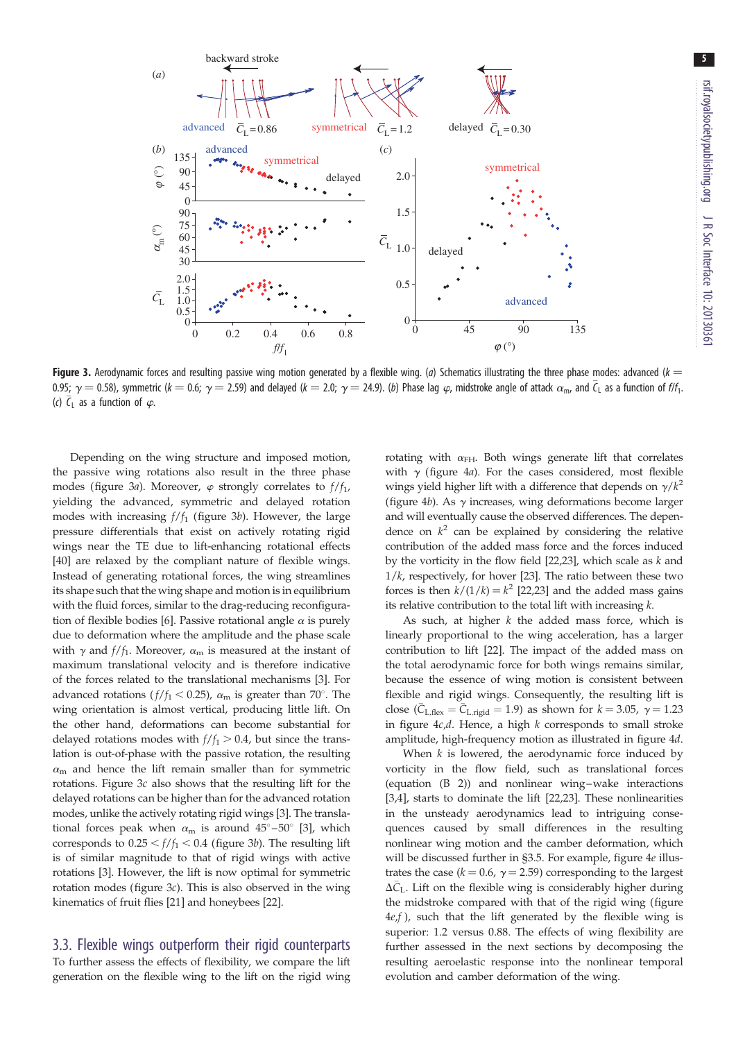

Figure 3. Aerodynamic forces and resulting passive wing motion generated by a flexible wing. (a) Schematics illustrating the three phase modes: advanced ( $k =$ 0.95;  $\gamma=$  0.58), symmetric ( $k=$  0.6;  $\gamma=$  2.59) and delayed ( $k=$  2.0;  $\gamma=$  24.9). (b) Phase lag  $\varphi$ , midstroke angle of attack  $\alpha_{\rm m}$ , and  $\bar\zeta_{\rm L}$  as a function of f/f<sub>1</sub>. (c)  $\overline{C}_L$  as a function of  $\varphi$ .

Depending on the wing structure and imposed motion, the passive wing rotations also result in the three phase modes (figure 3a). Moreover,  $\varphi$  strongly correlates to  $f/f_1$ , yielding the advanced, symmetric and delayed rotation modes with increasing  $f/f_1$  (figure 3b). However, the large pressure differentials that exist on actively rotating rigid wings near the TE due to lift-enhancing rotational effects [\[40](#page-10-0)] are relaxed by the compliant nature of flexible wings. Instead of generating rotational forces, the wing streamlines its shape such that the wing shape and motion is in equilibrium with the fluid forces, similar to the drag-reducing reconfigura-tion of flexible bodies [\[6](#page-9-0)]. Passive rotational angle  $\alpha$  is purely due to deformation where the amplitude and the phase scale with  $\gamma$  and  $f/f_1$ . Moreover,  $\alpha_m$  is measured at the instant of maximum translational velocity and is therefore indicative of the forces related to the translational mechanisms [[3](#page-9-0)]. For advanced rotations ( $f/f_1 < 0.25$ ),  $\alpha_m$  is greater than 70°. The wing orientation is almost vertical, producing little lift. On the other hand, deformations can become substantial for delayed rotations modes with  $f/f_1 > 0.4$ , but since the translation is out-of-phase with the passive rotation, the resulting  $\alpha_{\rm m}$  and hence the lift remain smaller than for symmetric rotations. Figure 3c also shows that the resulting lift for the delayed rotations can be higher than for the advanced rotation modes, unlike the actively rotating rigid wings [\[3\]](#page-9-0). The translational forces peak when  $\alpha_{\rm m}$  is around  $45^{\circ}$ –50° [\[3\]](#page-9-0), which corresponds to  $0.25 < f/f_1 < 0.4$  (figure 3b). The resulting lift is of similar magnitude to that of rigid wings with active rotations [[3](#page-9-0)]. However, the lift is now optimal for symmetric rotation modes (figure 3c). This is also observed in the wing kinematics of fruit flies [\[21](#page-9-0)] and honeybees [\[22](#page-9-0)].

## 3.3. Flexible wings outperform their rigid counterparts

To further assess the effects of flexibility, we compare the lift generation on the flexible wing to the lift on the rigid wing rotating with  $\alpha_{FH}$ . Both wings generate lift that correlates with  $\gamma$  [\(figure 4](#page-5-0)a). For the cases considered, most flexible wings yield higher lift with a difference that depends on  $\gamma/k^2$ ([figure 4](#page-5-0)b). As  $\gamma$  increases, wing deformations become larger and will eventually cause the observed differences. The dependence on  $k^2$  can be explained by considering the relative contribution of the added mass force and the forces induced by the vorticity in the flow field  $[22,23]$  $[22,23]$ , which scale as  $k$  and  $1/k$ , respectively, for hover [[23\]](#page-9-0). The ratio between these two forces is then  $k/(1/k) = k^2$  [\[22,23](#page-9-0)] and the added mass gains its relative contribution to the total lift with increasing  $k$ .

As such, at higher  $k$  the added mass force, which is linearly proportional to the wing acceleration, has a larger contribution to lift [\[22](#page-9-0)]. The impact of the added mass on the total aerodynamic force for both wings remains similar, because the essence of wing motion is consistent between flexible and rigid wings. Consequently, the resulting lift is close ( $\overline{C}_{L,\text{flex}} = \overline{C}_{L,\text{rigid}} = 1.9$ ) as shown for  $k = 3.05$ ,  $\gamma = 1.23$ in figure  $4c,d$ . Hence, a high k corresponds to small stroke amplitude, high-frequency motion as illustrated in [figure 4](#page-5-0)d.

When  $k$  is lowered, the aerodynamic force induced by vorticity in the flow field, such as translational forces (equation (B 2)) and nonlinear wing–wake interactions [[3,4\]](#page-9-0), starts to dominate the lift [\[22,23](#page-9-0)]. These nonlinearities in the unsteady aerodynamics lead to intriguing consequences caused by small differences in the resulting nonlinear wing motion and the camber deformation, which will be discussed further in §3.5. For example, [figure 4](#page-5-0)e illustrates the case ( $k = 0.6$ ,  $\gamma = 2.59$ ) corresponding to the largest  $\Delta \bar{C}_{L}$ . Lift on the flexible wing is considerably higher during the midstroke compared with that of the rigid wing ([figure](#page-5-0)  $4e$  $4e$ , f), such that the lift generated by the flexible wing is superior: 1.2 versus 0.88. The effects of wing flexibility are further assessed in the next sections by decomposing the resulting aeroelastic response into the nonlinear temporal evolution and camber deformation of the wing.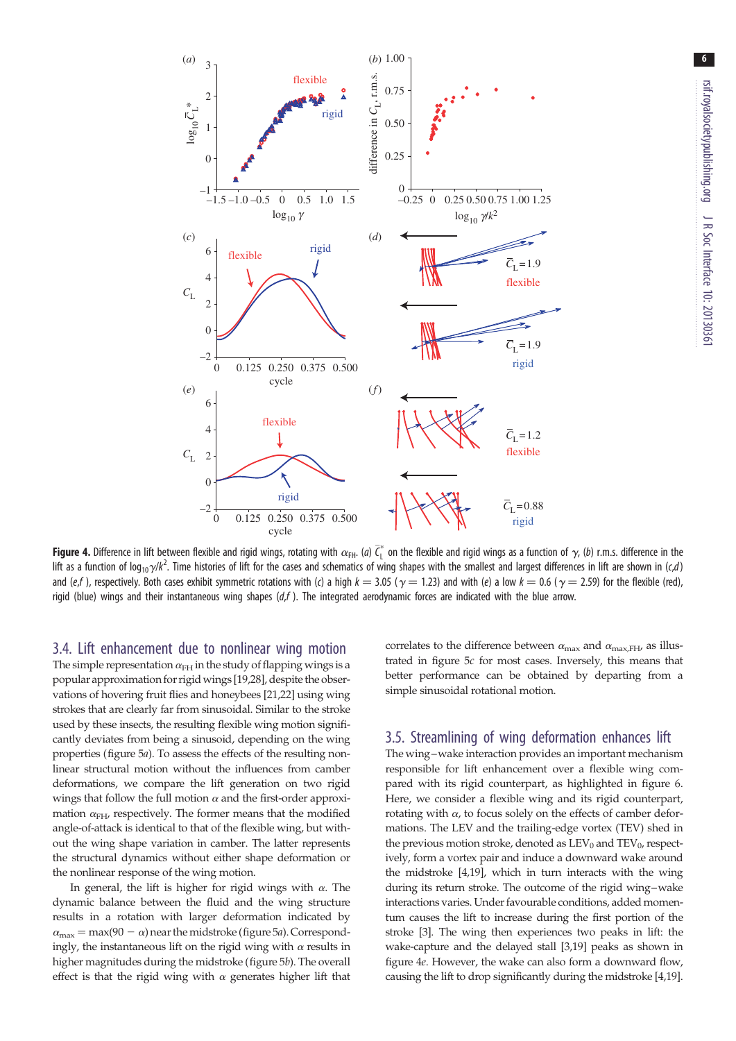<span id="page-5-0"></span>

**Figure 4.** Difference in lift between flexible and rigid wings, rotating with  $\alpha_{\text{FH}}$ . (a)  $\bar{\zeta}_1^*$  on the flexible and rigid wings as a function of  $\gamma$ , (b) r.m.s. difference in the lift as a function of log<sub>10</sub>y/k<sup>2</sup>. Time histories of lift for the cases and schematics of wing shapes with the smallest and largest differences in lift are shown in (c,d) and (e,f), respectively. Both cases exhibit symmetric rotations with (c) a high  $k = 3.05$  ( $\gamma = 1.23$ ) and with (e) a low  $k = 0.6$  ( $\gamma = 2.59$ ) for the flexible (red), rigid (blue) wings and their instantaneous wing shapes  $(df)$ . The integrated aerodynamic forces are indicated with the blue arrow.

3.4. Lift enhancement due to nonlinear wing motion The simple representation  $\alpha_{FH}$  in the study of flapping wings is a popular approximation for rigid wings [[19](#page-9-0),[28](#page-9-0)], despite the observations of hovering fruit flies and honeybees [\[21,22\]](#page-9-0) using wing strokes that are clearly far from sinusoidal. Similar to the stroke used by these insects, the resulting flexible wing motion significantly deviates from being a sinusoid, depending on the wing properties [\(figure 5](#page-6-0)a). To assess the effects of the resulting nonlinear structural motion without the influences from camber deformations, we compare the lift generation on two rigid wings that follow the full motion  $\alpha$  and the first-order approximation  $\alpha$ <sub>FH</sub>, respectively. The former means that the modified angle-of-attack is identical to that of the flexible wing, but without the wing shape variation in camber. The latter represents the structural dynamics without either shape deformation or the nonlinear response of the wing motion.

In general, the lift is higher for rigid wings with  $\alpha$ . The dynamic balance between the fluid and the wing structure results in a rotation with larger deformation indicated by  $\alpha_{\text{max}} = \text{max}(90 - \alpha)$  near the midstroke ([figure 5](#page-6-0)*a*). Correspondingly, the instantaneous lift on the rigid wing with  $\alpha$  results in higher magnitudes during the midstroke [\(figure 5](#page-6-0)b). The overall effect is that the rigid wing with  $\alpha$  generates higher lift that correlates to the difference between  $\alpha_{\text{max}}$  and  $\alpha_{\text{max,FH}}$ , as illustrated in [figure 5](#page-6-0)c for most cases. Inversely, this means that better performance can be obtained by departing from a simple sinusoidal rotational motion.

#### 3.5. Streamlining of wing deformation enhances lift

The wing–wake interaction provides an important mechanism responsible for lift enhancement over a flexible wing compared with its rigid counterpart, as highlighted in [figure 6](#page-6-0). Here, we consider a flexible wing and its rigid counterpart, rotating with  $\alpha$ , to focus solely on the effects of camber deformations. The LEV and the trailing-edge vortex (TEV) shed in the previous motion stroke, denoted as  $LEV_0$  and  $TEV_0$ , respectively, form a vortex pair and induce a downward wake around the midstroke [[4,19\]](#page-9-0), which in turn interacts with the wing during its return stroke. The outcome of the rigid wing–wake interactions varies. Under favourable conditions, added momentum causes the lift to increase during the first portion of the stroke [[3](#page-9-0)]. The wing then experiences two peaks in lift: the wake-capture and the delayed stall [[3,19\]](#page-9-0) peaks as shown in figure 4e. However, the wake can also form a downward flow, causing the lift to drop significantly during the midstroke [[4,19\]](#page-9-0).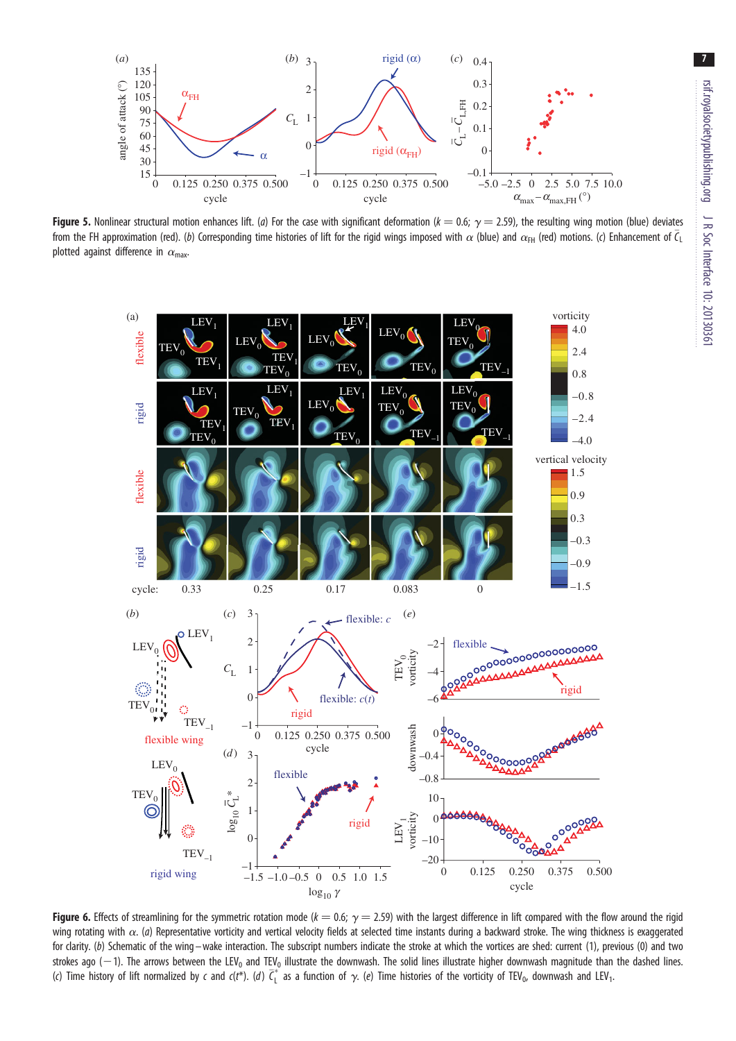<span id="page-6-0"></span>

Figure 5. Nonlinear structural motion enhances lift. (a) For the case with significant deformation ( $k = 0.6$ ;  $\gamma = 2.59$ ), the resulting wing motion (blue) deviates from the FH approximation (red). (b) Corresponding time histories of lift for the rigid wings imposed with  $\alpha$  (blue) and  $\alpha_{\rm FH}$  (red) motions. (c) Enhancement of  $\bar\epsilon_{\rm L}$ plotted against difference in  $\alpha_{\text{max}}$ .



Figure 6. Effects of streamlining for the symmetric rotation mode ( $k = 0.6$ ;  $\gamma = 2.59$ ) with the largest difference in lift compared with the flow around the rigid wing rotating with  $\alpha$ . (a) Representative vorticity and vertical velocity fields at selected time instants during a backward stroke. The wing thickness is exaggerated for clarity. (b) Schematic of the wing –wake interaction. The subscript numbers indicate the stroke at which the vortices are shed: current (1), previous (0) and two strokes ago (-1). The arrows between the LEV<sub>0</sub> and TEV<sub>0</sub> illustrate the downwash. The solid lines illustrate higher downwash magnitude than the dashed lines. (c) Time history of lift normalized by c and c(t\*). (d)  $\bar{\zeta}_L^*$  as a function of  $\gamma$ . (e) Time histories of the vorticity of TEV<sub>0</sub>, downwash and LEV<sub>1</sub>.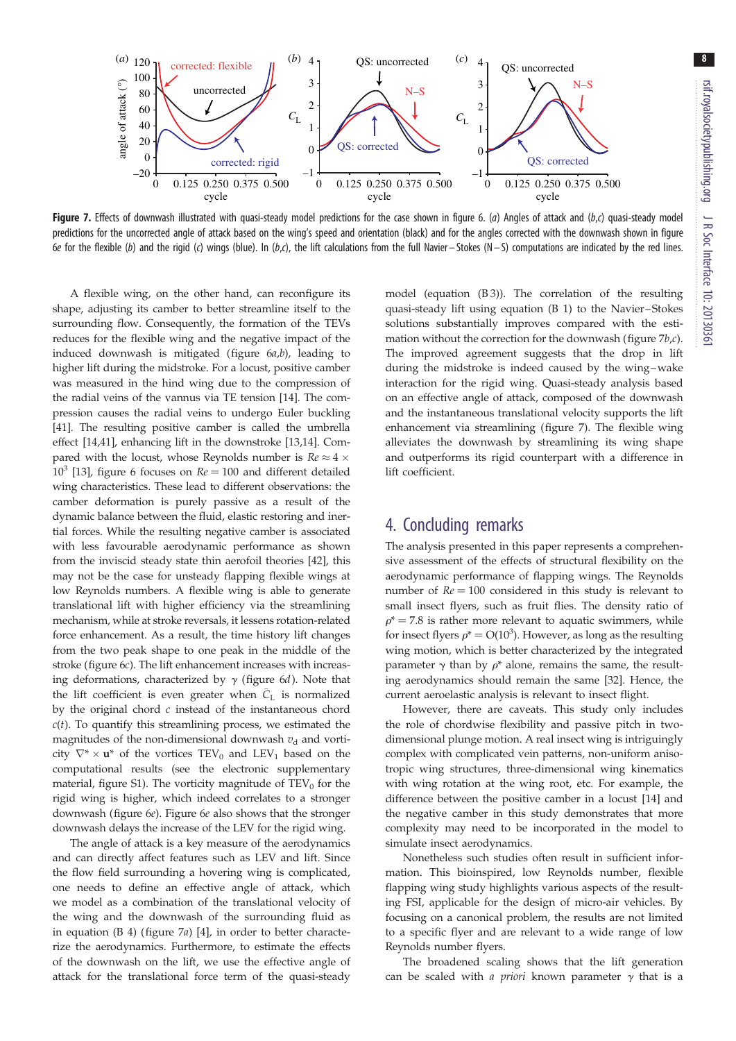

Figure 7. Effects of downwash illustrated with quasi-steady model predictions for the case shown in [figure 6.](#page-6-0) (a) Angles of attack and (b,c) quasi-steady model predictions for the uncorrected angle of attack based on the wing's speed and orientation (black) and for the angles corrected with the downwash shown in [figure](#page-6-0) [6](#page-6-0)e for the flexible (b) and the rigid (c) wings (blue). In (b,c), the lift calculations from the full Navier – Stokes (N – S) computations are indicated by the red lines.

A flexible wing, on the other hand, can reconfigure its shape, adjusting its camber to better streamline itself to the surrounding flow. Consequently, the formation of the TEVs reduces for the flexible wing and the negative impact of the induced downwash is mitigated (figure  $6a,b$ ), leading to higher lift during the midstroke. For a locust, positive camber was measured in the hind wing due to the compression of the radial veins of the vannus via TE tension [[14\]](#page-9-0). The compression causes the radial veins to undergo Euler buckling [\[41](#page-10-0)]. The resulting positive camber is called the umbrella effect [[14,](#page-9-0)[41\]](#page-10-0), enhancing lift in the downstroke [[13](#page-9-0),[14\]](#page-9-0). Compared with the locust, whose Reynolds number is  $Re \approx 4 \times$  $10^3$  [\[13](#page-9-0)], [figure 6](#page-6-0) focuses on  $Re = 100$  and different detailed wing characteristics. These lead to different observations: the camber deformation is purely passive as a result of the dynamic balance between the fluid, elastic restoring and inertial forces. While the resulting negative camber is associated with less favourable aerodynamic performance as shown from the inviscid steady state thin aerofoil theories [\[42\]](#page-10-0), this may not be the case for unsteady flapping flexible wings at low Reynolds numbers. A flexible wing is able to generate translational lift with higher efficiency via the streamlining mechanism, while at stroke reversals, it lessens rotation-related force enhancement. As a result, the time history lift changes from the two peak shape to one peak in the middle of the stroke ([figure 6](#page-6-0)c). The lift enhancement increases with increasing deformations, characterized by  $\gamma$  ([figure 6](#page-6-0)d). Note that the lift coefficient is even greater when  $\bar{C}_{L}$  is normalized by the original chord  $c$  instead of the instantaneous chord  $c(t)$ . To quantify this streamlining process, we estimated the magnitudes of the non-dimensional downwash  $v<sub>d</sub>$  and vorticity  $\nabla^* \times \mathbf{u}^*$  of the vortices TEV<sub>0</sub> and LEV<sub>1</sub> based on the computational results (see the electronic supplementary material, figure S1). The vorticity magnitude of  $TEV_0$  for the rigid wing is higher, which indeed correlates to a stronger downwash [\(figure 6](#page-6-0)e). [Figure 6](#page-6-0)e also shows that the stronger downwash delays the increase of the LEV for the rigid wing.

The angle of attack is a key measure of the aerodynamics and can directly affect features such as LEV and lift. Since the flow field surrounding a hovering wing is complicated, one needs to define an effective angle of attack, which we model as a combination of the translational velocity of the wing and the downwash of the surrounding fluid as in equation (B 4) (figure 7a) [[4\]](#page-9-0), in order to better characterize the aerodynamics. Furthermore, to estimate the effects of the downwash on the lift, we use the effective angle of attack for the translational force term of the quasi-steady

model (equation (B 3)). The correlation of the resulting quasi-steady lift using equation (B 1) to the Navier–Stokes solutions substantially improves compared with the estimation without the correction for the downwash (figure 7b,c). The improved agreement suggests that the drop in lift during the midstroke is indeed caused by the wing–wake interaction for the rigid wing. Quasi-steady analysis based on an effective angle of attack, composed of the downwash and the instantaneous translational velocity supports the lift enhancement via streamlining (figure 7). The flexible wing alleviates the downwash by streamlining its wing shape and outperforms its rigid counterpart with a difference in lift coefficient.

## 4. Concluding remarks

The analysis presented in this paper represents a comprehensive assessment of the effects of structural flexibility on the aerodynamic performance of flapping wings. The Reynolds number of  $Re = 100$  considered in this study is relevant to small insect flyers, such as fruit flies. The density ratio of  $\rho^*$  = 7.8 is rather more relevant to aquatic swimmers, while for insect flyers  $\rho^* = O(10^3)$ . However, as long as the resulting wing motion, which is better characterized by the integrated parameter  $\gamma$  than by  $\rho^*$  alone, remains the same, the resulting aerodynamics should remain the same [[32\]](#page-9-0). Hence, the current aeroelastic analysis is relevant to insect flight.

However, there are caveats. This study only includes the role of chordwise flexibility and passive pitch in twodimensional plunge motion. A real insect wing is intriguingly complex with complicated vein patterns, non-uniform anisotropic wing structures, three-dimensional wing kinematics with wing rotation at the wing root, etc. For example, the difference between the positive camber in a locust [\[14](#page-9-0)] and the negative camber in this study demonstrates that more complexity may need to be incorporated in the model to simulate insect aerodynamics.

Nonetheless such studies often result in sufficient information. This bioinspired, low Reynolds number, flexible flapping wing study highlights various aspects of the resulting FSI, applicable for the design of micro-air vehicles. By focusing on a canonical problem, the results are not limited to a specific flyer and are relevant to a wide range of low Reynolds number flyers.

The broadened scaling shows that the lift generation can be scaled with a priori known parameter  $\gamma$  that is a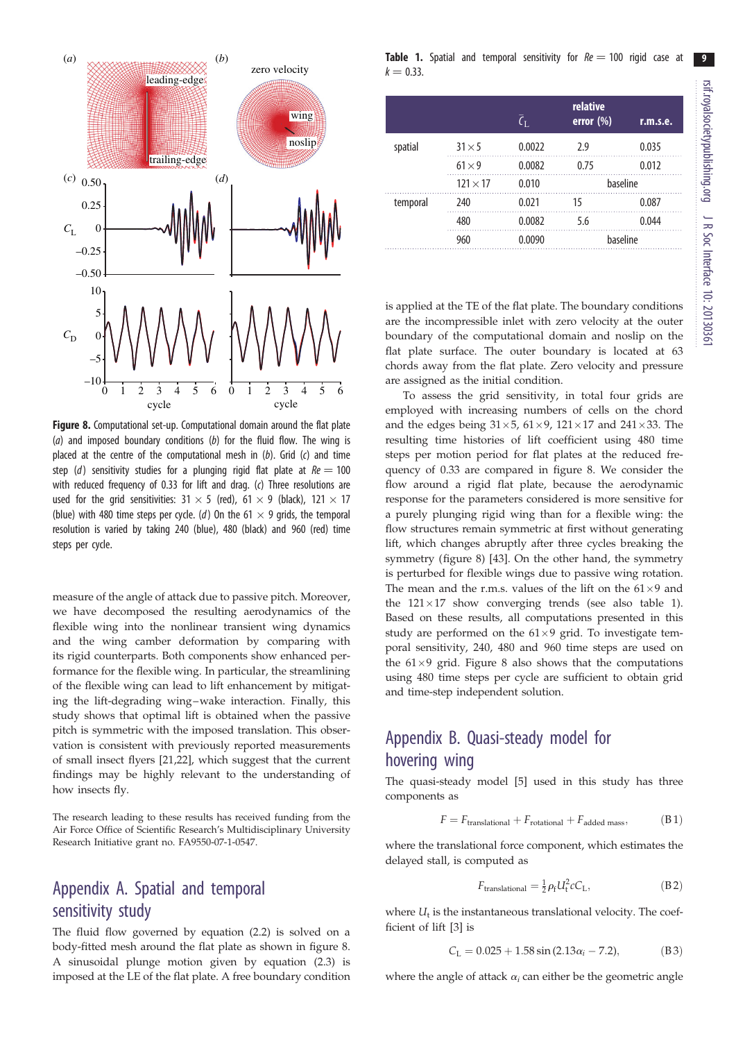

Figure 8. Computational set-up. Computational domain around the flat plate (a) and imposed boundary conditions (b) for the fluid flow. The wing is placed at the centre of the computational mesh in  $(b)$ . Grid  $(c)$  and time step (d) sensitivity studies for a plunging rigid flat plate at  $Re = 100$ with reduced frequency of 0.33 for lift and drag. (c) Three resolutions are used for the grid sensitivities:  $31 \times 5$  (red),  $61 \times 9$  (black),  $121 \times 17$ (blue) with 480 time steps per cycle. (d) On the 61  $\times$  9 grids, the temporal resolution is varied by taking 240 (blue), 480 (black) and 960 (red) time steps per cycle.

measure of the angle of attack due to passive pitch. Moreover, we have decomposed the resulting aerodynamics of the flexible wing into the nonlinear transient wing dynamics and the wing camber deformation by comparing with its rigid counterparts. Both components show enhanced performance for the flexible wing. In particular, the streamlining of the flexible wing can lead to lift enhancement by mitigating the lift-degrading wing–wake interaction. Finally, this study shows that optimal lift is obtained when the passive pitch is symmetric with the imposed translation. This observation is consistent with previously reported measurements of small insect flyers [[21,22\]](#page-9-0), which suggest that the current findings may be highly relevant to the understanding of how insects fly.

The research leading to these results has received funding from the Air Force Office of Scientific Research's Multidisciplinary University Research Initiative grant no. FA9550-07-1-0547.

# Appendix A. Spatial and temporal sensitivity study

The fluid flow governed by equation (2.2) is solved on a body-fitted mesh around the flat plate as shown in figure 8. A sinusoidal plunge motion given by equation (2.3) is imposed at the LE of the flat plate. A free boundary condition

**Table 1.** Spatial and temporal sensitivity for  $Re = 100$  rigid case at  $k = 0.33$ .

|          |                 | $\overline{\zeta}_{\rm L}$ | relative<br>error $(\%)$ | r.m.s.e. |
|----------|-----------------|----------------------------|--------------------------|----------|
| spatial  | $31 \times 5$   | 0.0022                     | 7.9                      | 0.035    |
|          | $61 \times 9$   | 0.0082                     | 0.75                     | 0.012    |
|          | $121 \times 17$ | 0.010                      | baseline                 |          |
| temporal | 240             | 0.021                      | 15                       | 0.087    |
|          | 480             | 0.0082                     | 5.6                      | 0.044    |
|          | 960             | 0.0090                     | baseline                 |          |

is applied at the TE of the flat plate. The boundary conditions are the incompressible inlet with zero velocity at the outer boundary of the computational domain and noslip on the flat plate surface. The outer boundary is located at 63 chords away from the flat plate. Zero velocity and pressure are assigned as the initial condition.

To assess the grid sensitivity, in total four grids are employed with increasing numbers of cells on the chord and the edges being  $31\times5$ ,  $61\times9$ ,  $121\times17$  and  $241\times33$ . The resulting time histories of lift coefficient using 480 time steps per motion period for flat plates at the reduced frequency of 0.33 are compared in figure 8. We consider the flow around a rigid flat plate, because the aerodynamic response for the parameters considered is more sensitive for a purely plunging rigid wing than for a flexible wing: the flow structures remain symmetric at first without generating lift, which changes abruptly after three cycles breaking the symmetry (figure 8) [[43\]](#page-10-0). On the other hand, the symmetry is perturbed for flexible wings due to passive wing rotation. The mean and the r.m.s. values of the lift on the  $61\times9$  and the  $121 \times 17$  show converging trends (see also table 1). Based on these results, all computations presented in this study are performed on the  $61\times9$  grid. To investigate temporal sensitivity, 240, 480 and 960 time steps are used on the  $61\times9$  grid. Figure 8 also shows that the computations using 480 time steps per cycle are sufficient to obtain grid and time-step independent solution.

# Appendix B. Quasi-steady model for hovering wing

The quasi-steady model [\[5\]](#page-9-0) used in this study has three components as

$$
F = F_{\text{translational}} + F_{\text{rotational}} + F_{\text{added mass}}, \tag{B1}
$$

where the translational force component, which estimates the delayed stall, is computed as

$$
F_{\text{translational}} = \frac{1}{2} \rho_{\text{f}} U_{\text{t}}^2 c C_{\text{L}},\tag{B.2}
$$

where  $U_t$  is the instantaneous translational velocity. The coefficient of lift [[3\]](#page-9-0) is

$$
C_{L} = 0.025 + 1.58 \sin (2.13 \alpha_{i} - 7.2), \tag{B3}
$$

where the angle of attack  $\alpha_i$  can either be the geometric angle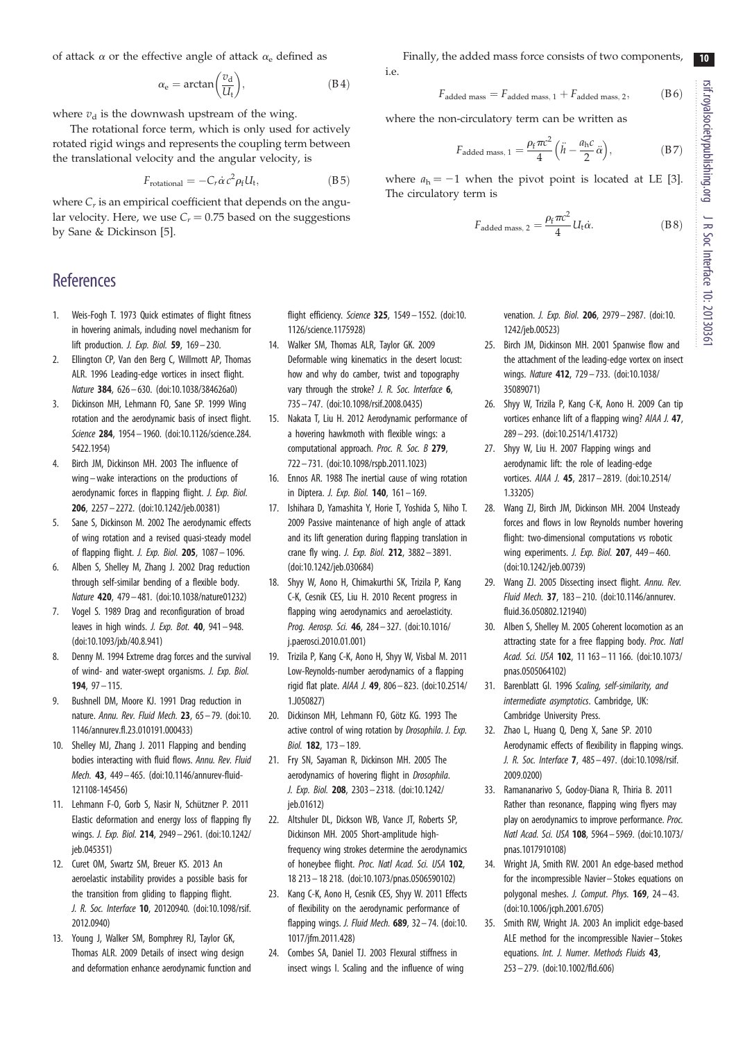<span id="page-9-0"></span>of attack  $\alpha$  or the effective angle of attack  $\alpha_e$  defined as

$$
\alpha_e = \arctan\left(\frac{v_d}{U_t}\right),\tag{B4}
$$

where  $v_d$  is the downwash upstream of the wing.

The rotational force term, which is only used for actively rotated rigid wings and represents the coupling term between the translational velocity and the angular velocity, is

$$
F_{\text{rotational}} = -C_r \dot{\alpha} c^2 \rho_f U_t, \qquad (B.5)
$$

where  $C_r$  is an empirical coefficient that depends on the angular velocity. Here, we use  $C_r = 0.75$  based on the suggestions by Sane & Dickinson [5].

# References

- 1. Weis-Fogh T. 1973 Quick estimates of flight fitness in hovering animals, including novel mechanism for lift production. *J. Exp. Biol.* **59**,  $169 - 230$ .
- 2. Ellington CP, Van den Berg C, Willmott AP, Thomas ALR. 1996 Leading-edge vortices in insect flight. Nature 384, 626 – 630. [\(doi:10.1038/384626a0\)](http://dx.doi.org/10.1038/384626a0)
- 3. Dickinson MH, Lehmann FO, Sane SP. 1999 Wing rotation and the aerodynamic basis of insect flight. Science 284, 1954 – 1960. ([doi:10.1126/science.284.](http://dx.doi.org/10.1126/science.284.5422.1954) [5422.1954\)](http://dx.doi.org/10.1126/science.284.5422.1954)
- 4. Birch JM, Dickinson MH. 2003 The influence of wing –wake interactions on the productions of aerodynamic forces in flapping flight. J. Exp. Biol. 206, 2257– 2272. [\(doi:10.1242/jeb.00381\)](http://dx.doi.org/10.1242/jeb.00381)
- 5. Sane S, Dickinson M. 2002 The aerodynamic effects of wing rotation and a revised quasi-steady model of flapping flight. J. Exp. Biol. 205, 1087 – 1096.
- 6. Alben S, Shelley M, Zhang J. 2002 Drag reduction through self-similar bending of a flexible body. Nature 420, 479 – 481. [\(doi:10.1038/nature01232](http://dx.doi.org/10.1038/nature01232))
- 7. Vogel S. 1989 Drag and reconfiguration of broad leaves in high winds. *J. Exp. Bot.* **40**,  $941 - 948$ . [\(doi:10.1093/jxb/40.8.941](http://dx.doi.org/10.1093/jxb/40.8.941))
- 8. Denny M. 1994 Extreme drag forces and the survival of wind- and water-swept organisms. J. Exp. Biol. 194, 97 – 115.
- Bushnell DM, Moore KJ. 1991 Drag reduction in nature. Annu. Rev. Fluid Mech. 23, 65– 79. ([doi:10.](http://dx.doi.org/10.1146/annurev.fl.23.010191.000433) [1146/annurev.fl.23.010191.000433\)](http://dx.doi.org/10.1146/annurev.fl.23.010191.000433)
- 10. Shelley MJ, Zhang J. 2011 Flapping and bending bodies interacting with fluid flows. Annu. Rev. Fluid Mech. 43, 449– 465. ([doi:10.1146/annurev-fluid-](http://dx.doi.org/10.1146/annurev-fluid-121108-145456)[121108-145456](http://dx.doi.org/10.1146/annurev-fluid-121108-145456))
- 11. Lehmann F-O, Gorb S, Nasir N, Schützner P. 2011 Elastic deformation and energy loss of flapping fly wings. J. Exp. Biol. 214, 2949– 2961. ([doi:10.1242/](http://dx.doi.org/10.1242/jeb.045351) [jeb.045351](http://dx.doi.org/10.1242/jeb.045351))
- 12. Curet OM, Swartz SM, Breuer KS. 2013 An aeroelastic instability provides a possible basis for the transition from gliding to flapping flight. J. R. Soc. Interface 10, 20120940. ([doi:10.1098/rsif.](http://dx.doi.org/10.1098/rsif.2012.0940) [2012.0940\)](http://dx.doi.org/10.1098/rsif.2012.0940)
- 13. Young J, Walker SM, Bomphrey RJ, Taylor GK, Thomas ALR. 2009 Details of insect wing design and deformation enhance aerodynamic function and

flight efficiency. Science 325, 1549– 1552. ([doi:10.](http://dx.doi.org/10.1126/science.1175928) [1126/science.1175928](http://dx.doi.org/10.1126/science.1175928))

- 14. Walker SM, Thomas ALR, Taylor GK. 2009 Deformable wing kinematics in the desert locust: how and why do camber, twist and topography vary through the stroke? J. R. Soc. Interface 6, 735 – 747. [\(doi:10.1098/rsif.2008.0435\)](http://dx.doi.org/10.1098/rsif.2008.0435)
- 15. Nakata T, Liu H. 2012 Aerodynamic performance of a hovering hawkmoth with flexible wings: a computational approach. Proc. R. Soc. B 279, 722 – 731. [\(doi:10.1098/rspb.2011.1023](http://dx.doi.org/10.1098/rspb.2011.1023))
- 16. Ennos AR. 1988 The inertial cause of wing rotation in Diptera. *J. Exp. Biol.* **140**,  $161 - 169$ .
- 17. Ishihara D, Yamashita Y, Horie T, Yoshida S, Niho T. 2009 Passive maintenance of high angle of attack and its lift generation during flapping translation in crane fly wing. J. Exp. Biol. 212, 3882 – 3891. [\(doi:10.1242/jeb.030684](http://dx.doi.org/10.1242/jeb.030684))
- 18. Shyy W, Aono H, Chimakurthi SK, Trizila P, Kang C-K, Cesnik CES, Liu H. 2010 Recent progress in flapping wing aerodynamics and aeroelasticity. Prog. Aerosp. Sci. 46, 284– 327. ([doi:10.1016/](http://dx.doi.org/10.1016/j.paerosci.2010.01.001) [j.paerosci.2010.01.001\)](http://dx.doi.org/10.1016/j.paerosci.2010.01.001)
- 19. Trizila P, Kang C-K, Aono H, Shyy W, Visbal M. 2011 Low-Reynolds-number aerodynamics of a flapping rigid flat plate. AIAA J. 49, 806 – 823. [\(doi:10.2514/](http://dx.doi.org/10.2514/1.J050827) [1.J050827\)](http://dx.doi.org/10.2514/1.J050827)
- 20. Dickinson MH, Lehmann FO, Götz KG. 1993 The active control of wing rotation by Drosophila. J. Exp. Biol. 182, 173 – 189.
- 21. Fry SN, Sayaman R, Dickinson MH. 2005 The aerodynamics of hovering flight in Drosophila. J. Exp. Biol. 208, 2303– 2318. ([doi:10.1242/](http://dx.doi.org/10.1242/jeb.01612) [jeb.01612\)](http://dx.doi.org/10.1242/jeb.01612)
- 22. Altshuler DL, Dickson WB, Vance JT, Roberts SP, Dickinson MH. 2005 Short-amplitude highfrequency wing strokes determine the aerodynamics of honeybee flight. Proc. Natl Acad. Sci. USA 102, 18 213– 18 218. [\(doi:10.1073/pnas.0506590102](http://dx.doi.org/10.1073/pnas.0506590102))
- 23. Kang C-K, Aono H, Cesnik CES, Shyy W. 2011 Effects of flexibility on the aerodynamic performance of flapping wings. J. Fluid Mech.  $689$ ,  $32-74$ . [\(doi:10.](http://dx.doi.org/10.1017/jfm.2011.428) [1017/jfm.2011.428\)](http://dx.doi.org/10.1017/jfm.2011.428)
- 24. Combes SA, Daniel TJ. 2003 Flexural stiffness in insect wings I. Scaling and the influence of wing

Finally, the added mass force consists of two components, i.e.

$$
F_{\text{added mass}} = F_{\text{added mass}, 1} + F_{\text{added mass}, 2}, \tag{B6}
$$

where the non-circulatory term can be written as

$$
F_{\text{added mass, 1}} = \frac{\rho_{\text{f}} \pi c^2}{4} \left( \ddot{h} - \frac{a_{\text{h}} c}{2} \ddot{\alpha} \right),\tag{B7}
$$

where  $a_h = -1$  when the pivot point is located at LE [3]. The circulatory term is

$$
F_{\text{added mass, 2}} = \frac{\rho_{\text{f}} \pi c^2}{4} U_{\text{t}} \dot{\alpha}.
$$
 (B8)

venation. *J. Exp. Biol.* **206**, 2979-2987. ([doi:10.](http://dx.doi.org/10.1242/jeb.00523) [1242/jeb.00523\)](http://dx.doi.org/10.1242/jeb.00523)

- 25. Birch JM, Dickinson MH. 2001 Spanwise flow and the attachment of the leading-edge vortex on insect wings. Nature 412, 729 – 733. ([doi:10.1038/](http://dx.doi.org/10.1038/35089071) [35089071\)](http://dx.doi.org/10.1038/35089071)
- 26. Shyy W, Trizila P, Kang C-K, Aono H. 2009 Can tip vortices enhance lift of a flapping wing? AIAA J. 47, 289– 293. [\(doi:10.2514/1.41732\)](http://dx.doi.org/10.2514/1.41732)
- 27. Shyy W, Liu H. 2007 Flapping wings and aerodynamic lift: the role of leading-edge vortices. AIAA J. 45, 2817– 2819. [\(doi:10.2514/](http://dx.doi.org/10.2514/1.33205) [1.33205\)](http://dx.doi.org/10.2514/1.33205)
- 28. Wang ZJ, Birch JM, Dickinson MH. 2004 Unsteady forces and flows in low Reynolds number hovering flight: two-dimensional computations vs robotic wing experiments. J. Exp. Biol. 207, 449– 460. ([doi:10.1242/jeb.00739\)](http://dx.doi.org/10.1242/jeb.00739)
- 29. Wang ZJ. 2005 Dissecting insect flight. Annu. Rev. Fluid Mech. 37, 183– 210. [\(doi:10.1146/annurev.](http://dx.doi.org/10.1146/annurev.fluid.36.050802.121940) [fluid.36.050802.121940](http://dx.doi.org/10.1146/annurev.fluid.36.050802.121940))
- 30. Alben S, Shelley M. 2005 Coherent locomotion as an attracting state for a free flapping body. Proc. Natl Acad. Sci. USA 102, 11 163– 11 166. [\(doi:10.1073/](http://dx.doi.org/10.1073/pnas.0505064102) [pnas.0505064102\)](http://dx.doi.org/10.1073/pnas.0505064102)
- 31. Barenblatt GI. 1996 Scaling, self-similarity, and intermediate asymptotics. Cambridge, UK: Cambridge University Press.
- 32. Zhao L, Huang Q, Deng X, Sane SP. 2010 Aerodynamic effects of flexibility in flapping wings. J. R. Soc. Interface 7, 485– 497. ([doi:10.1098/rsif.](http://dx.doi.org/10.1098/rsif.2009.0200) [2009.0200](http://dx.doi.org/10.1098/rsif.2009.0200))
- 33. Ramananarivo S, Godoy-Diana R, Thiria B. 2011 Rather than resonance, flapping wing flyers may play on aerodynamics to improve performance. Proc. Natl Acad. Sci. USA 108, 5964 – 5969. [\(doi:10.1073/](http://dx.doi.org/10.1073/pnas.1017910108) [pnas.1017910108\)](http://dx.doi.org/10.1073/pnas.1017910108)
- 34. Wright JA, Smith RW. 2001 An edge-based method for the incompressible Navier– Stokes equations on polygonal meshes. J. Comput. Phys. 169, 24-43. ([doi:10.1006/jcph.2001.6705](http://dx.doi.org/10.1006/jcph.2001.6705))
- 35. Smith RW, Wright JA. 2003 An implicit edge-based ALE method for the incompressible Navier – Stokes equations. Int. J. Numer. Methods Fluids 43, 253– 279. [\(doi:10.1002/fld.606\)](http://dx.doi.org/10.1002/fld.606)